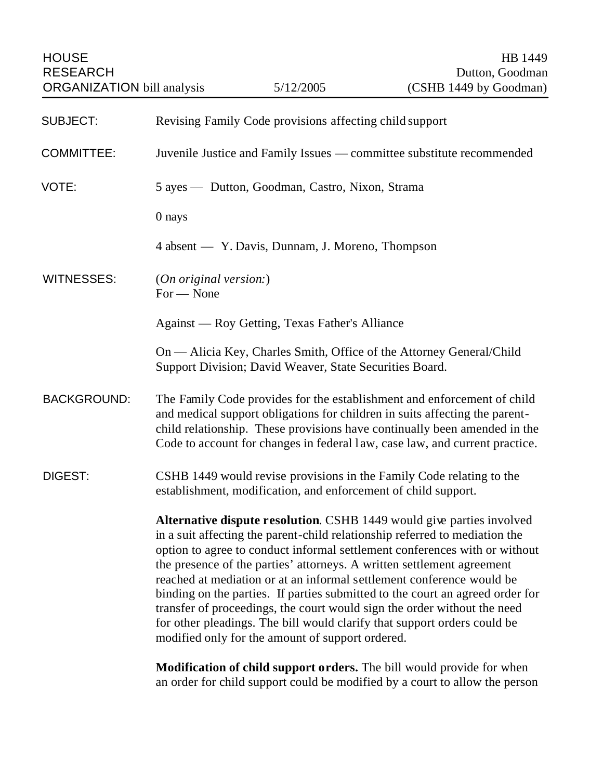| <b>HOUSE</b><br><b>RESEARCH</b>   |                                                                                                                                                                                                                                                                                                                                                                                                                                                                                                                                                                                                                                                                                    |                                                                | HB 1449<br>Dutton, Goodman<br>(CSHB 1449 by Goodman)                                                                                                                                                                                                                                                               |
|-----------------------------------|------------------------------------------------------------------------------------------------------------------------------------------------------------------------------------------------------------------------------------------------------------------------------------------------------------------------------------------------------------------------------------------------------------------------------------------------------------------------------------------------------------------------------------------------------------------------------------------------------------------------------------------------------------------------------------|----------------------------------------------------------------|--------------------------------------------------------------------------------------------------------------------------------------------------------------------------------------------------------------------------------------------------------------------------------------------------------------------|
| <b>ORGANIZATION</b> bill analysis |                                                                                                                                                                                                                                                                                                                                                                                                                                                                                                                                                                                                                                                                                    | 5/12/2005                                                      |                                                                                                                                                                                                                                                                                                                    |
| <b>SUBJECT:</b>                   | Revising Family Code provisions affecting child support                                                                                                                                                                                                                                                                                                                                                                                                                                                                                                                                                                                                                            |                                                                |                                                                                                                                                                                                                                                                                                                    |
| <b>COMMITTEE:</b>                 | Juvenile Justice and Family Issues — committee substitute recommended                                                                                                                                                                                                                                                                                                                                                                                                                                                                                                                                                                                                              |                                                                |                                                                                                                                                                                                                                                                                                                    |
| VOTE:                             | 5 ayes — Dutton, Goodman, Castro, Nixon, Strama                                                                                                                                                                                                                                                                                                                                                                                                                                                                                                                                                                                                                                    |                                                                |                                                                                                                                                                                                                                                                                                                    |
|                                   | 0 nays                                                                                                                                                                                                                                                                                                                                                                                                                                                                                                                                                                                                                                                                             |                                                                |                                                                                                                                                                                                                                                                                                                    |
|                                   |                                                                                                                                                                                                                                                                                                                                                                                                                                                                                                                                                                                                                                                                                    | 4 absent — Y. Davis, Dunnam, J. Moreno, Thompson               |                                                                                                                                                                                                                                                                                                                    |
| <b>WITNESSES:</b>                 | (On original version.)<br>$For - None$                                                                                                                                                                                                                                                                                                                                                                                                                                                                                                                                                                                                                                             |                                                                |                                                                                                                                                                                                                                                                                                                    |
|                                   | Against — Roy Getting, Texas Father's Alliance                                                                                                                                                                                                                                                                                                                                                                                                                                                                                                                                                                                                                                     |                                                                |                                                                                                                                                                                                                                                                                                                    |
|                                   |                                                                                                                                                                                                                                                                                                                                                                                                                                                                                                                                                                                                                                                                                    | Support Division; David Weaver, State Securities Board.        | On — Alicia Key, Charles Smith, Office of the Attorney General/Child                                                                                                                                                                                                                                               |
| <b>BACKGROUND:</b>                |                                                                                                                                                                                                                                                                                                                                                                                                                                                                                                                                                                                                                                                                                    |                                                                | The Family Code provides for the establishment and enforcement of child<br>and medical support obligations for children in suits affecting the parent-<br>child relationship. These provisions have continually been amended in the<br>Code to account for changes in federal law, case law, and current practice. |
| DIGEST:                           |                                                                                                                                                                                                                                                                                                                                                                                                                                                                                                                                                                                                                                                                                    | establishment, modification, and enforcement of child support. | CSHB 1449 would revise provisions in the Family Code relating to the                                                                                                                                                                                                                                               |
|                                   | Alternative dispute resolution. CSHB 1449 would give parties involved<br>in a suit affecting the parent-child relationship referred to mediation the<br>option to agree to conduct informal settlement conferences with or without<br>the presence of the parties' attorneys. A written settlement agreement<br>reached at mediation or at an informal settlement conference would be<br>binding on the parties. If parties submitted to the court an agreed order for<br>transfer of proceedings, the court would sign the order without the need<br>for other pleadings. The bill would clarify that support orders could be<br>modified only for the amount of support ordered. |                                                                |                                                                                                                                                                                                                                                                                                                    |
|                                   |                                                                                                                                                                                                                                                                                                                                                                                                                                                                                                                                                                                                                                                                                    |                                                                | Modification of child support orders. The bill would provide for when<br>an order for child support could be modified by a court to allow the person                                                                                                                                                               |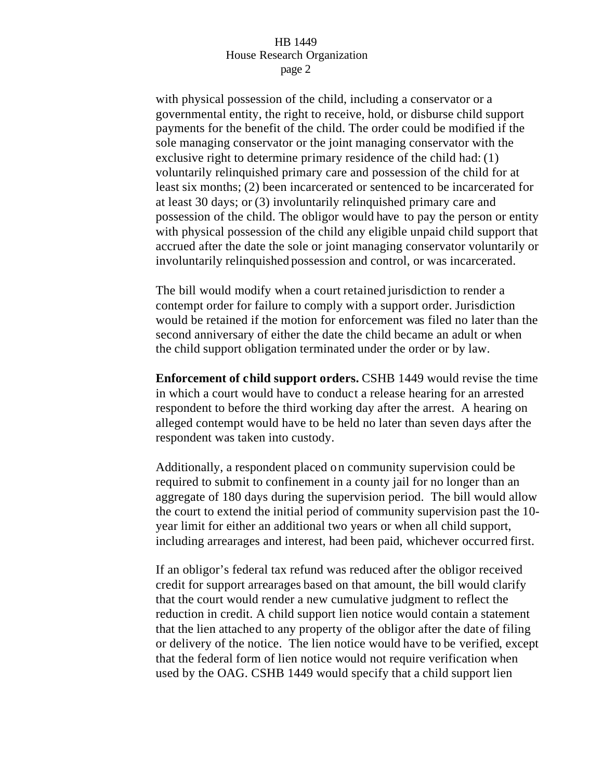with physical possession of the child, including a conservator or a governmental entity, the right to receive, hold, or disburse child support payments for the benefit of the child. The order could be modified if the sole managing conservator or the joint managing conservator with the exclusive right to determine primary residence of the child had: (1) voluntarily relinquished primary care and possession of the child for at least six months; (2) been incarcerated or sentenced to be incarcerated for at least 30 days; or (3) involuntarily relinquished primary care and possession of the child. The obligor would have to pay the person or entity with physical possession of the child any eligible unpaid child support that accrued after the date the sole or joint managing conservator voluntarily or involuntarily relinquished possession and control, or was incarcerated.

The bill would modify when a court retained jurisdiction to render a contempt order for failure to comply with a support order. Jurisdiction would be retained if the motion for enforcement was filed no later than the second anniversary of either the date the child became an adult or when the child support obligation terminated under the order or by law.

**Enforcement of child support orders.** CSHB 1449 would revise the time in which a court would have to conduct a release hearing for an arrested respondent to before the third working day after the arrest. A hearing on alleged contempt would have to be held no later than seven days after the respondent was taken into custody.

Additionally, a respondent placed on community supervision could be required to submit to confinement in a county jail for no longer than an aggregate of 180 days during the supervision period. The bill would allow the court to extend the initial period of community supervision past the 10 year limit for either an additional two years or when all child support, including arrearages and interest, had been paid, whichever occurred first.

If an obligor's federal tax refund was reduced after the obligor received credit for support arrearages based on that amount, the bill would clarify that the court would render a new cumulative judgment to reflect the reduction in credit. A child support lien notice would contain a statement that the lien attached to any property of the obligor after the date of filing or delivery of the notice. The lien notice would have to be verified, except that the federal form of lien notice would not require verification when used by the OAG. CSHB 1449 would specify that a child support lien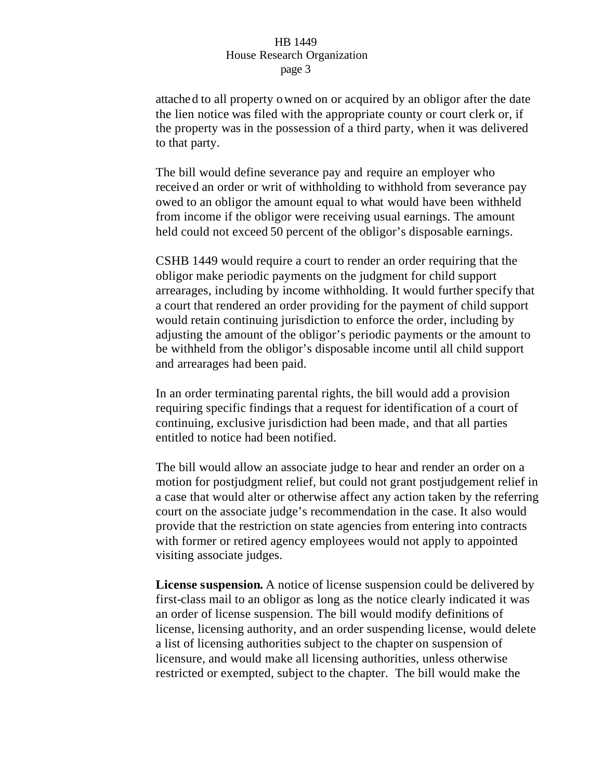attached to all property owned on or acquired by an obligor after the date the lien notice was filed with the appropriate county or court clerk or, if the property was in the possession of a third party, when it was delivered to that party.

The bill would define severance pay and require an employer who received an order or writ of withholding to withhold from severance pay owed to an obligor the amount equal to what would have been withheld from income if the obligor were receiving usual earnings. The amount held could not exceed 50 percent of the obligor's disposable earnings.

CSHB 1449 would require a court to render an order requiring that the obligor make periodic payments on the judgment for child support arrearages, including by income withholding. It would further specify that a court that rendered an order providing for the payment of child support would retain continuing jurisdiction to enforce the order, including by adjusting the amount of the obligor's periodic payments or the amount to be withheld from the obligor's disposable income until all child support and arrearages had been paid.

In an order terminating parental rights, the bill would add a provision requiring specific findings that a request for identification of a court of continuing, exclusive jurisdiction had been made, and that all parties entitled to notice had been notified.

The bill would allow an associate judge to hear and render an order on a motion for postjudgment relief, but could not grant postjudgement relief in a case that would alter or otherwise affect any action taken by the referring court on the associate judge's recommendation in the case. It also would provide that the restriction on state agencies from entering into contracts with former or retired agency employees would not apply to appointed visiting associate judges.

**License suspension.** A notice of license suspension could be delivered by first-class mail to an obligor as long as the notice clearly indicated it was an order of license suspension. The bill would modify definitions of license, licensing authority, and an order suspending license, would delete a list of licensing authorities subject to the chapter on suspension of licensure, and would make all licensing authorities, unless otherwise restricted or exempted, subject to the chapter. The bill would make the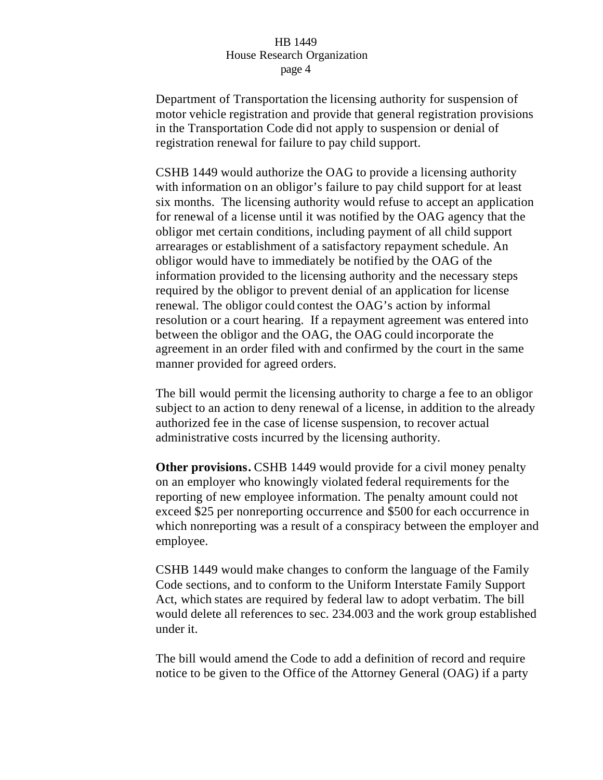Department of Transportation the licensing authority for suspension of motor vehicle registration and provide that general registration provisions in the Transportation Code did not apply to suspension or denial of registration renewal for failure to pay child support.

CSHB 1449 would authorize the OAG to provide a licensing authority with information on an obligor's failure to pay child support for at least six months. The licensing authority would refuse to accept an application for renewal of a license until it was notified by the OAG agency that the obligor met certain conditions, including payment of all child support arrearages or establishment of a satisfactory repayment schedule. An obligor would have to immediately be notified by the OAG of the information provided to the licensing authority and the necessary steps required by the obligor to prevent denial of an application for license renewal. The obligor could contest the OAG's action by informal resolution or a court hearing. If a repayment agreement was entered into between the obligor and the OAG, the OAG could incorporate the agreement in an order filed with and confirmed by the court in the same manner provided for agreed orders.

The bill would permit the licensing authority to charge a fee to an obligor subject to an action to deny renewal of a license, in addition to the already authorized fee in the case of license suspension, to recover actual administrative costs incurred by the licensing authority.

**Other provisions.** CSHB 1449 would provide for a civil money penalty on an employer who knowingly violated federal requirements for the reporting of new employee information. The penalty amount could not exceed \$25 per nonreporting occurrence and \$500 for each occurrence in which nonreporting was a result of a conspiracy between the employer and employee.

CSHB 1449 would make changes to conform the language of the Family Code sections, and to conform to the Uniform Interstate Family Support Act, which states are required by federal law to adopt verbatim. The bill would delete all references to sec. 234.003 and the work group established under it.

The bill would amend the Code to add a definition of record and require notice to be given to the Office of the Attorney General (OAG) if a party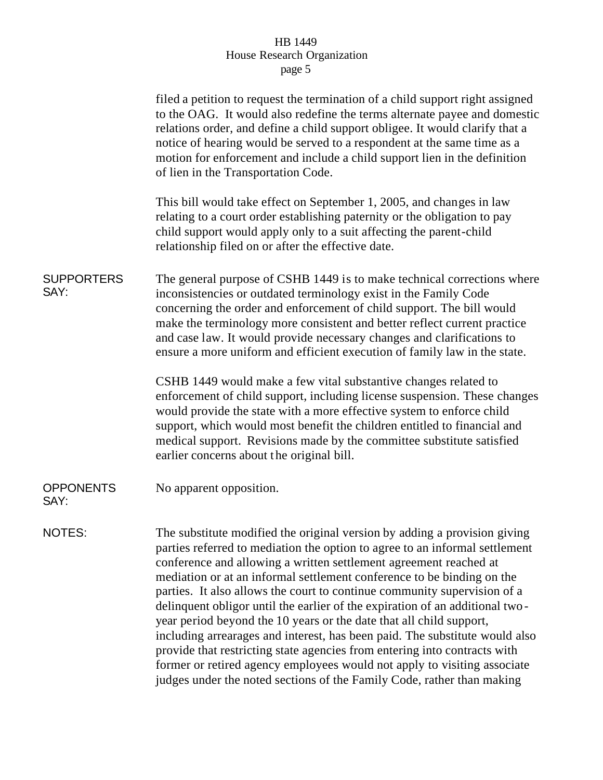|                           | filed a petition to request the termination of a child support right assigned<br>to the OAG. It would also redefine the terms alternate payee and domestic<br>relations order, and define a child support obligee. It would clarify that a<br>notice of hearing would be served to a respondent at the same time as a<br>motion for enforcement and include a child support lien in the definition<br>of lien in the Transportation Code.                                                                                                                                                                                                                                                                                                                                                                                                                    |  |
|---------------------------|--------------------------------------------------------------------------------------------------------------------------------------------------------------------------------------------------------------------------------------------------------------------------------------------------------------------------------------------------------------------------------------------------------------------------------------------------------------------------------------------------------------------------------------------------------------------------------------------------------------------------------------------------------------------------------------------------------------------------------------------------------------------------------------------------------------------------------------------------------------|--|
|                           | This bill would take effect on September 1, 2005, and changes in law<br>relating to a court order establishing paternity or the obligation to pay<br>child support would apply only to a suit affecting the parent-child<br>relationship filed on or after the effective date.                                                                                                                                                                                                                                                                                                                                                                                                                                                                                                                                                                               |  |
| <b>SUPPORTERS</b><br>SAY: | The general purpose of CSHB 1449 is to make technical corrections where<br>inconsistencies or outdated terminology exist in the Family Code<br>concerning the order and enforcement of child support. The bill would<br>make the terminology more consistent and better reflect current practice<br>and case law. It would provide necessary changes and clarifications to<br>ensure a more uniform and efficient execution of family law in the state.                                                                                                                                                                                                                                                                                                                                                                                                      |  |
|                           | CSHB 1449 would make a few vital substantive changes related to<br>enforcement of child support, including license suspension. These changes<br>would provide the state with a more effective system to enforce child<br>support, which would most benefit the children entitled to financial and<br>medical support. Revisions made by the committee substitute satisfied<br>earlier concerns about the original bill.                                                                                                                                                                                                                                                                                                                                                                                                                                      |  |
| <b>OPPONENTS</b><br>SAY:  | No apparent opposition.                                                                                                                                                                                                                                                                                                                                                                                                                                                                                                                                                                                                                                                                                                                                                                                                                                      |  |
| NOTES:                    | The substitute modified the original version by adding a provision giving<br>parties referred to mediation the option to agree to an informal settlement<br>conference and allowing a written settlement agreement reached at<br>mediation or at an informal settlement conference to be binding on the<br>parties. It also allows the court to continue community supervision of a<br>delinquent obligor until the earlier of the expiration of an additional two-<br>year period beyond the 10 years or the date that all child support,<br>including arrearages and interest, has been paid. The substitute would also<br>provide that restricting state agencies from entering into contracts with<br>former or retired agency employees would not apply to visiting associate<br>judges under the noted sections of the Family Code, rather than making |  |